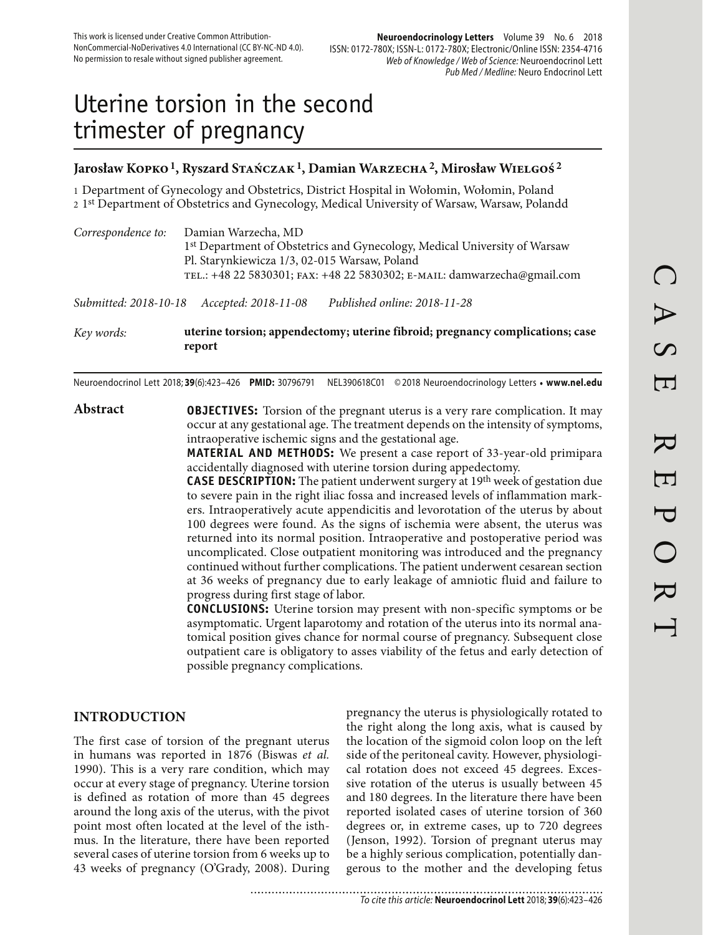# Uterine torsion in the second trimester of pregnancy

#### **Jarosław Kopko 1, Ryszard Stańczak 1, Damian Warzecha 2, Mirosław Wielgoś 2**

1 Department of Gynecology and Obstetrics, District Hospital in Wołomin, Wołomin, Poland 2 1st Department of Obstetrics and Gynecology, Medical University of Warsaw, Warsaw, Polandd

| Correspondence to:    | Damian Warzecha, MD<br>1st Department of Obstetrics and Gynecology, Medical University of Warsaw<br>Pl. Starynkiewicza 1/3, 02-015 Warsaw, Poland |
|-----------------------|---------------------------------------------------------------------------------------------------------------------------------------------------|
|                       | TEL.: +48 22 5830301; FAX: +48 22 5830302; E-MAIL: damwarzecha@gmail.com                                                                          |
| Submitted: 2018-10-18 | Published online: 2018-11-28<br>Accepted: 2018-11-08                                                                                              |
| Key words:            | uterine torsion; appendectomy; uterine fibroid; pregnancy complications; case<br>report                                                           |

Neuroendocrinol Lett 2018; **39**(6):423–426 **PMID:** 30796791 NEL390618C01 © 2018 Neuroendocrinology Letters • **www.nel.edu**

**Abstract OBJECTIVES:** Torsion of the pregnant uterus is a very rare complication. It may occur at any gestational age. The treatment depends on the intensity of symptoms, intraoperative ischemic signs and the gestational age.

**MATERIAL AND METHODS:** We present a case report of 33-year-old primipara accidentally diagnosed with uterine torsion during appedectomy.

**CASE DESCRIPTION:** The patient underwent surgery at 19th week of gestation due to severe pain in the right iliac fossa and increased levels of inflammation markers. Intraoperatively acute appendicitis and levorotation of the uterus by about 100 degrees were found. As the signs of ischemia were absent, the uterus was returned into its normal position. Intraoperative and postoperative period was uncomplicated. Close outpatient monitoring was introduced and the pregnancy continued without further complications. The patient underwent cesarean section at 36 weeks of pregnancy due to early leakage of amniotic fluid and failure to progress during first stage of labor.

**CONCLUSIONS:** Uterine torsion may present with non-specific symptoms or be asymptomatic. Urgent laparotomy and rotation of the uterus into its normal anatomical position gives chance for normal course of pregnancy. Subsequent close outpatient care is obligatory to asses viability of the fetus and early detection of possible pregnancy complications.

## **INTRODUCTION**

The first case of torsion of the pregnant uterus in humans was reported in 1876 (Biswas *et al.* 1990). This is a very rare condition, which may occur at every stage of pregnancy. Uterine torsion is defined as rotation of more than 45 degrees around the long axis of the uterus, with the pivot point most often located at the level of the isthmus. In the literature, there have been reported several cases of uterine torsion from 6 weeks up to 43 weeks of pregnancy (O'Grady, 2008). During pregnancy the uterus is physiologically rotated to the right along the long axis, what is caused by the location of the sigmoid colon loop on the left side of the peritoneal cavity. However, physiological rotation does not exceed 45 degrees. Excessive rotation of the uterus is usually between 45 and 180 degrees. In the literature there have been reported isolated cases of uterine torsion of 360 degrees or, in extreme cases, up to 720 degrees (Jenson, 1992). Torsion of pregnant uterus may be a highly serious complication, potentially dangerous to the mother and the developing fetus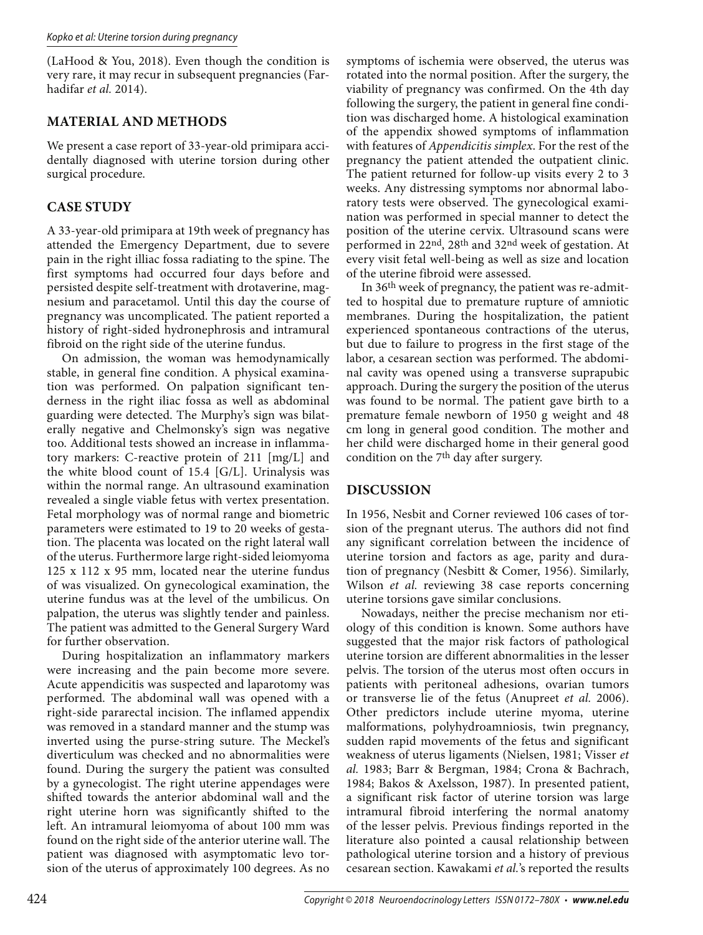(LaHood & You, 2018). Even though the condition is very rare, it may recur in subsequent pregnancies (Farhadifar *et al.* 2014).

#### **MATERIAL AND METHODS**

We present a case report of 33-year-old primipara accidentally diagnosed with uterine torsion during other surgical procedure.

## **CASE STUDY**

A 33-year-old primipara at 19th week of pregnancy has attended the Emergency Department, due to severe pain in the right illiac fossa radiating to the spine. The first symptoms had occurred four days before and persisted despite self-treatment with drotaverine, magnesium and paracetamol. Until this day the course of pregnancy was uncomplicated. The patient reported a history of right-sided hydronephrosis and intramural fibroid on the right side of the uterine fundus.

On admission, the woman was hemodynamically stable, in general fine condition. A physical examination was performed. On palpation significant tenderness in the right iliac fossa as well as abdominal guarding were detected. The Murphy's sign was bilaterally negative and Chelmonsky's sign was negative too. Additional tests showed an increase in inflammatory markers: C-reactive protein of 211 [mg/L] and the white blood count of 15.4 [G/L]. Urinalysis was within the normal range. An ultrasound examination revealed a single viable fetus with vertex presentation. Fetal morphology was of normal range and biometric parameters were estimated to 19 to 20 weeks of gestation. The placenta was located on the right lateral wall of the uterus. Furthermore large right-sided leiomyoma 125 x 112 x 95 mm, located near the uterine fundus of was visualized. On gynecological examination, the uterine fundus was at the level of the umbilicus. On palpation, the uterus was slightly tender and painless. The patient was admitted to the General Surgery Ward for further observation.

During hospitalization an inflammatory markers were increasing and the pain become more severe. Acute appendicitis was suspected and laparotomy was performed. The abdominal wall was opened with a right-side pararectal incision. The inflamed appendix was removed in a standard manner and the stump was inverted using the purse-string suture. The Meckel's diverticulum was checked and no abnormalities were found. During the surgery the patient was consulted by a gynecologist. The right uterine appendages were shifted towards the anterior abdominal wall and the right uterine horn was significantly shifted to the left. An intramural leiomyoma of about 100 mm was found on the right side of the anterior uterine wall. The patient was diagnosed with asymptomatic levo torsion of the uterus of approximately 100 degrees. As no

symptoms of ischemia were observed, the uterus was rotated into the normal position. After the surgery, the viability of pregnancy was confirmed. On the 4th day following the surgery, the patient in general fine condition was discharged home. A histological examination of the appendix showed symptoms of inflammation with features of *Appendicitis simplex*. For the rest of the pregnancy the patient attended the outpatient clinic. The patient returned for follow-up visits every 2 to 3 weeks. Any distressing symptoms nor abnormal laboratory tests were observed. The gynecological examination was performed in special manner to detect the position of the uterine cervix. Ultrasound scans were performed in 22nd, 28th and 32nd week of gestation. At every visit fetal well-being as well as size and location of the uterine fibroid were assessed.

In 36th week of pregnancy, the patient was re-admitted to hospital due to premature rupture of amniotic membranes. During the hospitalization, the patient experienced spontaneous contractions of the uterus, but due to failure to progress in the first stage of the labor, a cesarean section was performed. The abdominal cavity was opened using a transverse suprapubic approach. During the surgery the position of the uterus was found to be normal. The patient gave birth to a premature female newborn of 1950 g weight and 48 cm long in general good condition. The mother and her child were discharged home in their general good condition on the  $7<sup>th</sup>$  day after surgery.

## **DISCUSSION**

In 1956, Nesbit and Corner reviewed 106 cases of torsion of the pregnant uterus. The authors did not find any significant correlation between the incidence of uterine torsion and factors as age, parity and duration of pregnancy (Nesbitt & Comer, 1956). Similarly, Wilson *et al.* reviewing 38 case reports concerning uterine torsions gave similar conclusions.

Nowadays, neither the precise mechanism nor etiology of this condition is known. Some authors have suggested that the major risk factors of pathological uterine torsion are different abnormalities in the lesser pelvis. The torsion of the uterus most often occurs in patients with peritoneal adhesions, ovarian tumors or transverse lie of the fetus (Anupreet *et al.* 2006). Other predictors include uterine myoma, uterine malformations, polyhydroamniosis, twin pregnancy, sudden rapid movements of the fetus and significant weakness of uterus ligaments (Nielsen, 1981; Visser *et al.* 1983; Barr & Bergman, 1984; Crona & Bachrach, 1984; Bakos & Axelsson, 1987). In presented patient, a significant risk factor of uterine torsion was large intramural fibroid interfering the normal anatomy of the lesser pelvis. Previous findings reported in the literature also pointed a causal relationship between pathological uterine torsion and a history of previous cesarean section. Kawakami *et al.*'s reported the results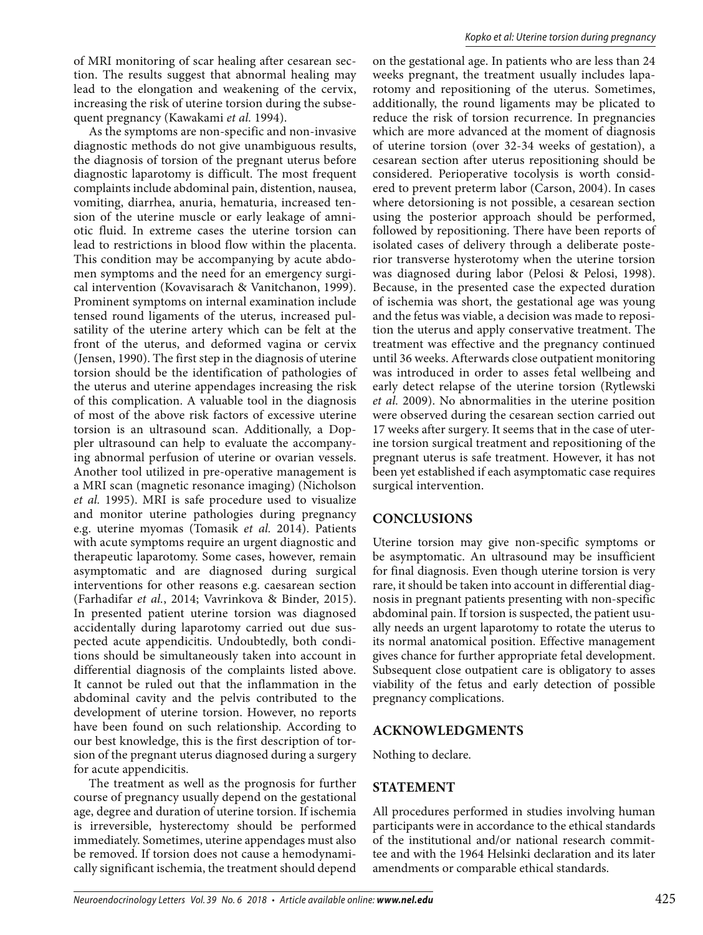of MRI monitoring of scar healing after cesarean section. The results suggest that abnormal healing may lead to the elongation and weakening of the cervix, increasing the risk of uterine torsion during the subsequent pregnancy (Kawakami *et al.* 1994).

As the symptoms are non-specific and non-invasive diagnostic methods do not give unambiguous results, the diagnosis of torsion of the pregnant uterus before diagnostic laparotomy is difficult. The most frequent complaints include abdominal pain, distention, nausea, vomiting, diarrhea, anuria, hematuria, increased tension of the uterine muscle or early leakage of amniotic fluid. In extreme cases the uterine torsion can lead to restrictions in blood flow within the placenta. This condition may be accompanying by acute abdomen symptoms and the need for an emergency surgical intervention (Kovavisarach & Vanitchanon, 1999). Prominent symptoms on internal examination include tensed round ligaments of the uterus, increased pulsatility of the uterine artery which can be felt at the front of the uterus, and deformed vagina or cervix (Jensen, 1990). The first step in the diagnosis of uterine torsion should be the identification of pathologies of the uterus and uterine appendages increasing the risk of this complication. A valuable tool in the diagnosis of most of the above risk factors of excessive uterine torsion is an ultrasound scan. Additionally, a Doppler ultrasound can help to evaluate the accompanying abnormal perfusion of uterine or ovarian vessels. Another tool utilized in pre-operative management is a MRI scan (magnetic resonance imaging) (Nicholson *et al.* 1995). MRI is safe procedure used to visualize and monitor uterine pathologies during pregnancy e.g. uterine myomas (Tomasik *et al.* 2014). Patients with acute symptoms require an urgent diagnostic and therapeutic laparotomy. Some cases, however, remain asymptomatic and are diagnosed during surgical interventions for other reasons e.g. caesarean section (Farhadifar *et al.*, 2014; Vavrinkova & Binder, 2015). In presented patient uterine torsion was diagnosed accidentally during laparotomy carried out due suspected acute appendicitis. Undoubtedly, both conditions should be simultaneously taken into account in differential diagnosis of the complaints listed above. It cannot be ruled out that the inflammation in the abdominal cavity and the pelvis contributed to the development of uterine torsion. However, no reports have been found on such relationship. According to our best knowledge, this is the first description of torsion of the pregnant uterus diagnosed during a surgery for acute appendicitis.

The treatment as well as the prognosis for further course of pregnancy usually depend on the gestational age, degree and duration of uterine torsion. If ischemia is irreversible, hysterectomy should be performed immediately. Sometimes, uterine appendages must also be removed. If torsion does not cause a hemodynamically significant ischemia, the treatment should depend

on the gestational age. In patients who are less than 24 weeks pregnant, the treatment usually includes laparotomy and repositioning of the uterus. Sometimes, additionally, the round ligaments may be plicated to reduce the risk of torsion recurrence. In pregnancies which are more advanced at the moment of diagnosis of uterine torsion (over 32-34 weeks of gestation), a cesarean section after uterus repositioning should be considered. Perioperative tocolysis is worth considered to prevent preterm labor (Carson, 2004). In cases where detorsioning is not possible, a cesarean section using the posterior approach should be performed, followed by repositioning. There have been reports of isolated cases of delivery through a deliberate posterior transverse hysterotomy when the uterine torsion was diagnosed during labor (Pelosi & Pelosi, 1998). Because, in the presented case the expected duration of ischemia was short, the gestational age was young and the fetus was viable, a decision was made to reposition the uterus and apply conservative treatment. The treatment was effective and the pregnancy continued until 36 weeks. Afterwards close outpatient monitoring was introduced in order to asses fetal wellbeing and early detect relapse of the uterine torsion (Rytlewski *et al.* 2009). No abnormalities in the uterine position were observed during the cesarean section carried out 17 weeks after surgery. It seems that in the case of uterine torsion surgical treatment and repositioning of the pregnant uterus is safe treatment. However, it has not been yet established if each asymptomatic case requires surgical intervention.

#### **CONCLUSIONS**

Uterine torsion may give non-specific symptoms or be asymptomatic. An ultrasound may be insufficient for final diagnosis. Even though uterine torsion is very rare, it should be taken into account in differential diagnosis in pregnant patients presenting with non-specific abdominal pain. If torsion is suspected, the patient usually needs an urgent laparotomy to rotate the uterus to its normal anatomical position. Effective management gives chance for further appropriate fetal development. Subsequent close outpatient care is obligatory to asses viability of the fetus and early detection of possible pregnancy complications.

#### **ACKNOWLEDGMENTS**

Nothing to declare.

#### **STATEMENT**

All procedures performed in studies involving human participants were in accordance to the ethical standards of the institutional and/or national research committee and with the 1964 Helsinki declaration and its later amendments or comparable ethical standards.